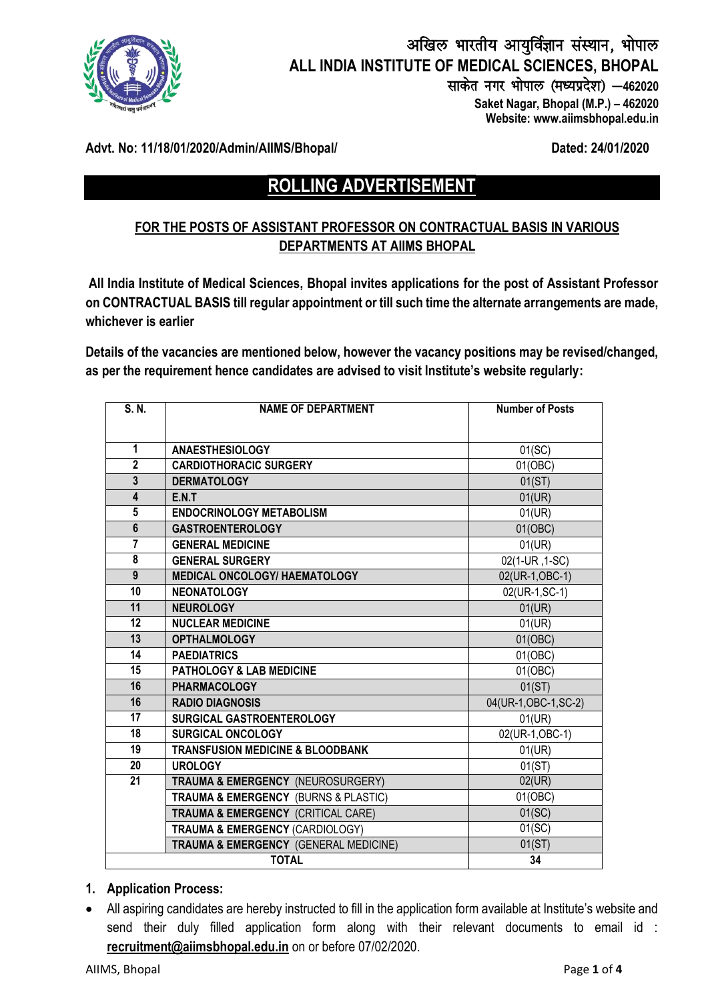

## अखिल भारतीय आयुर्विज्ञान संस्थान, भोपाल **ALL INDIA INSTITUTE OF MEDICAL SCIENCES, BHOPAL** साकेत नगर भोपाल (मध्यप्रदेश) - 462020  **Saket Nagar, Bhopal (M.P.) – 462020**

 **Website: www.aiimsbhopal.edu.in**

**Advt. No: 11/18/01/2020/Admin/AIIMS/Bhopal/ Dated: 24/01/2020**

# **ROLLING ADVERTISEMENT**

## **FOR THE POSTS OF ASSISTANT PROFESSOR ON CONTRACTUAL BASIS IN VARIOUS DEPARTMENTS AT AIIMS BHOPAL**

**All India Institute of Medical Sciences, Bhopal invites applications for the post of Assistant Professor on CONTRACTUAL BASIS till regular appointment or till such time the alternate arrangements are made, whichever is earlier**

**Details of the vacancies are mentioned below, however the vacancy positions may be revised/changed, as per the requirement hence candidates are advised to visit Institute's website regularly:** 

| S. N.                   | <b>NAME OF DEPARTMENT</b>                     | <b>Number of Posts</b>       |
|-------------------------|-----------------------------------------------|------------------------------|
|                         |                                               |                              |
| $\mathbf{1}$            | <b>ANAESTHESIOLOGY</b>                        | $01$ (SC)                    |
| $\overline{2}$          | <b>CARDIOTHORACIC SURGERY</b>                 | 01(OBC)                      |
| $\overline{\mathbf{3}}$ | <b>DERMATOLOGY</b>                            | 01(ST)                       |
| 4                       | E.N.T                                         | 01(UR)                       |
| $5\phantom{.0}$         | <b>ENDOCRINOLOGY METABOLISM</b>               | 01(UR)                       |
| $6\phantom{1}$          | <b>GASTROENTEROLOGY</b>                       | 01(OBC)                      |
| $\overline{7}$          | <b>GENERAL MEDICINE</b>                       | 01(UR)                       |
| 8                       | <b>GENERAL SURGERY</b>                        | $\overline{02}$ (1-UR, 1-SC) |
| $\overline{9}$          | <b>MEDICAL ONCOLOGY/ HAEMATOLOGY</b>          | 02(UR-1,OBC-1)               |
| 10                      | <b>NEONATOLOGY</b>                            | 02(UR-1, SC-1)               |
| 11                      | <b>NEUROLOGY</b>                              | 01(UR)                       |
| 12                      | <b>NUCLEAR MEDICINE</b>                       | 01(UR)                       |
| 13                      | <b>OPTHALMOLOGY</b>                           | 01(OBC)                      |
| 14                      | <b>PAEDIATRICS</b>                            | 01(OBC)                      |
| 15                      | <b>PATHOLOGY &amp; LAB MEDICINE</b>           | 01(OBC)                      |
| 16                      | <b>PHARMACOLOGY</b>                           | 01(ST)                       |
| 16                      | <b>RADIO DIAGNOSIS</b>                        | 04(UR-1, OBC-1, SC-2)        |
| 17                      | SURGICAL GASTROENTEROLOGY                     | 01(UR)                       |
| 18                      | <b>SURGICAL ONCOLOGY</b>                      | 02(UR-1,OBC-1)               |
| 19                      | <b>TRANSFUSION MEDICINE &amp; BLOODBANK</b>   | 01(UR)                       |
| 20                      | <b>UROLOGY</b>                                | 01(ST)                       |
| 21                      | TRAUMA & EMERGENCY (NEUROSURGERY)             | 02(UR)                       |
|                         | TRAUMA & EMERGENCY (BURNS & PLASTIC)          | 01(OBC)                      |
|                         | <b>TRAUMA &amp; EMERGENCY (CRITICAL CARE)</b> | 01(SC)                       |
|                         | TRAUMA & EMERGENCY (CARDIOLOGY)               | 01(SC)                       |
|                         | TRAUMA & EMERGENCY (GENERAL MEDICINE)         | 01(ST)                       |
|                         | <b>TOTAL</b>                                  | 34                           |

#### **1. Application Process:**

 All aspiring candidates are hereby instructed to fill in the application form available at Institute's website and send their duly filled application form along with their relevant documents to email id : **[recruitment@aiimsbhopal.edu.in](mailto:recruitment@aiimsbhopal.edu.in)** on or before 07/02/2020.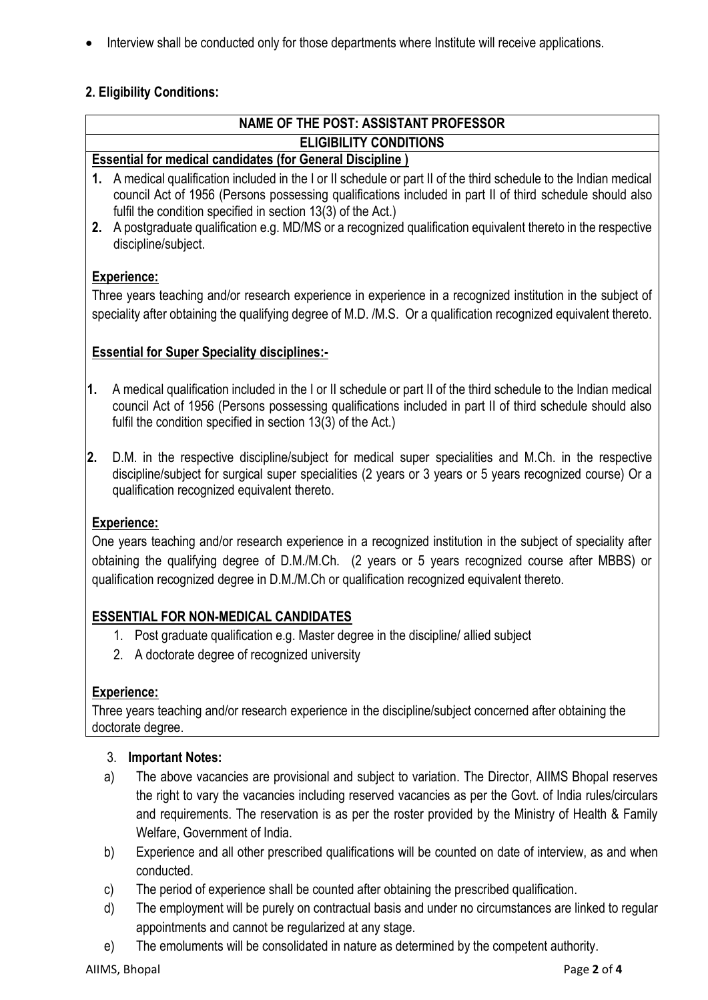• Interview shall be conducted only for those departments where Institute will receive applications.

## **2. Eligibility Conditions:**

| NAME OF THE POST: ASSISTANT PROFESSOR                                                                                                                                                                                                                                                                              |                                                                                                                                                                                                                                                                                                |  |  |
|--------------------------------------------------------------------------------------------------------------------------------------------------------------------------------------------------------------------------------------------------------------------------------------------------------------------|------------------------------------------------------------------------------------------------------------------------------------------------------------------------------------------------------------------------------------------------------------------------------------------------|--|--|
| <b>ELIGIBILITY CONDITIONS</b>                                                                                                                                                                                                                                                                                      |                                                                                                                                                                                                                                                                                                |  |  |
| <b>Essential for medical candidates (for General Discipline)</b>                                                                                                                                                                                                                                                   |                                                                                                                                                                                                                                                                                                |  |  |
|                                                                                                                                                                                                                                                                                                                    | 1. A medical qualification included in the I or II schedule or part II of the third schedule to the Indian medical<br>council Act of 1956 (Persons possessing qualifications included in part II of third schedule should also<br>fulfil the condition specified in section 13(3) of the Act.) |  |  |
| 2.                                                                                                                                                                                                                                                                                                                 | A postgraduate qualification e.g. MD/MS or a recognized qualification equivalent thereto in the respective<br>discipline/subject.                                                                                                                                                              |  |  |
| <b>Experience:</b>                                                                                                                                                                                                                                                                                                 |                                                                                                                                                                                                                                                                                                |  |  |
| Three years teaching and/or research experience in experience in a recognized institution in the subject of<br>speciality after obtaining the qualifying degree of M.D. /M.S. Or a qualification recognized equivalent thereto.                                                                                    |                                                                                                                                                                                                                                                                                                |  |  |
| <b>Essential for Super Speciality disciplines:-</b>                                                                                                                                                                                                                                                                |                                                                                                                                                                                                                                                                                                |  |  |
| 1.                                                                                                                                                                                                                                                                                                                 | A medical qualification included in the I or II schedule or part II of the third schedule to the Indian medical<br>council Act of 1956 (Persons possessing qualifications included in part II of third schedule should also<br>fulfil the condition specified in section 13(3) of the Act.)    |  |  |
| D.M. in the respective discipline/subject for medical super specialities and M.Ch. in the respective<br>2.<br>discipline/subject for surgical super specialities (2 years or 3 years or 5 years recognized course) Or a<br>qualification recognized equivalent thereto.                                            |                                                                                                                                                                                                                                                                                                |  |  |
|                                                                                                                                                                                                                                                                                                                    | <b>Experience:</b>                                                                                                                                                                                                                                                                             |  |  |
| One years teaching and/or research experience in a recognized institution in the subject of speciality after<br>obtaining the qualifying degree of D.M./M.Ch. (2 years or 5 years recognized course after MBBS) or<br>qualification recognized degree in D.M./M.Ch or qualification recognized equivalent thereto. |                                                                                                                                                                                                                                                                                                |  |  |
| <b>ESSENTIAL FOR NON-MEDICAL CANDIDATES</b>                                                                                                                                                                                                                                                                        |                                                                                                                                                                                                                                                                                                |  |  |
|                                                                                                                                                                                                                                                                                                                    | 1. Post graduate qualification e.g. Master degree in the discipline/ allied subject                                                                                                                                                                                                            |  |  |
|                                                                                                                                                                                                                                                                                                                    | 2. A doctorate degree of recognized university                                                                                                                                                                                                                                                 |  |  |
|                                                                                                                                                                                                                                                                                                                    | <b>Experience:</b>                                                                                                                                                                                                                                                                             |  |  |
| Three years teaching and/or research experience in the discipline/subject concerned after obtaining the<br>doctorate degree.                                                                                                                                                                                       |                                                                                                                                                                                                                                                                                                |  |  |
|                                                                                                                                                                                                                                                                                                                    | 3.<br><b>Important Notes:</b>                                                                                                                                                                                                                                                                  |  |  |
|                                                                                                                                                                                                                                                                                                                    | The above vacancies are provisional and subject to variation. The Director, AIIMS Bhopal reserves<br>a)                                                                                                                                                                                        |  |  |
|                                                                                                                                                                                                                                                                                                                    | the right to vary the vacancies including reserved vacancies as per the Govt. of India rules/circulars                                                                                                                                                                                         |  |  |
|                                                                                                                                                                                                                                                                                                                    | and requirements. The reservation is as per the roster provided by the Ministry of Health & Family<br>Welfare, Government of India.                                                                                                                                                            |  |  |
|                                                                                                                                                                                                                                                                                                                    | Experience and all other prescribed qualifications will be counted on date of interview, as and when<br>b)                                                                                                                                                                                     |  |  |

- conducted. c) The period of experience shall be counted after obtaining the prescribed qualification.
- d) The employment will be purely on contractual basis and under no circumstances are linked to regular appointments and cannot be regularized at any stage.
- e) The emoluments will be consolidated in nature as determined by the competent authority.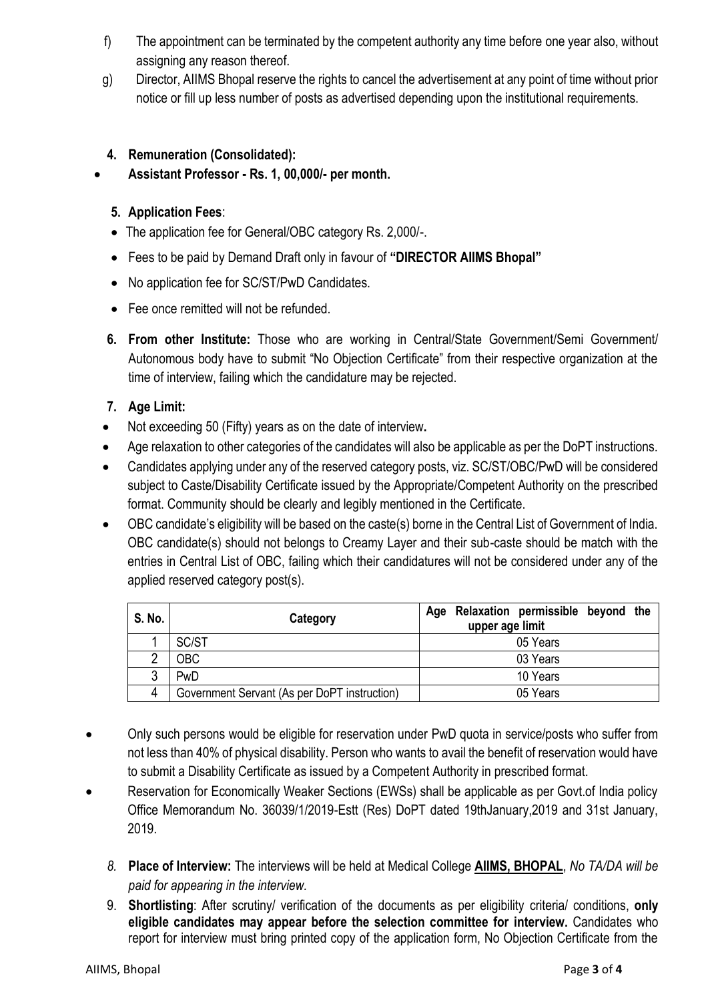- f) The appointment can be terminated by the competent authority any time before one year also, without assigning any reason thereof.
- g) Director, AIIMS Bhopal reserve the rights to cancel the advertisement at any point of time without prior notice or fill up less number of posts as advertised depending upon the institutional requirements.

## **4. Remuneration (Consolidated):**

**Assistant Professor - Rs. 1, 00,000/- per month.**

## **5. Application Fees**:

- The application fee for General/OBC category Rs. 2,000/-.
- Fees to be paid by Demand Draft only in favour of **"DIRECTOR AIIMS Bhopal"**
- No application fee for SC/ST/PwD Candidates.
- Fee once remitted will not be refunded.
- **6. From other Institute:** Those who are working in Central/State Government/Semi Government/ Autonomous body have to submit "No Objection Certificate" from their respective organization at the time of interview, failing which the candidature may be rejected.

## **7. Age Limit:**

- Not exceeding 50 (Fifty) years as on the date of interview**.**
- Age relaxation to other categories of the candidates will also be applicable as per the DoPT instructions.
- Candidates applying under any of the reserved category posts, viz. SC/ST/OBC/PwD will be considered subject to Caste/Disability Certificate issued by the Appropriate/Competent Authority on the prescribed format. Community should be clearly and legibly mentioned in the Certificate.
- OBC candidate's eligibility will be based on the caste(s) borne in the Central List of Government of India. OBC candidate(s) should not belongs to Creamy Layer and their sub-caste should be match with the entries in Central List of OBC, failing which their candidatures will not be considered under any of the applied reserved category post(s).

| S. No. | Category                                     | Age Relaxation permissible beyond the<br>upper age limit |
|--------|----------------------------------------------|----------------------------------------------------------|
|        | SC/ST                                        | 05 Years                                                 |
|        | <b>OBC</b>                                   | 03 Years                                                 |
|        | PwD                                          | 10 Years                                                 |
| 4      | Government Servant (As per DoPT instruction) | 05 Years                                                 |

- Only such persons would be eligible for reservation under PwD quota in service/posts who suffer from not less than 40% of physical disability. Person who wants to avail the benefit of reservation would have to submit a Disability Certificate as issued by a Competent Authority in prescribed format.
- Reservation for Economically Weaker Sections (EWSs) shall be applicable as per Govt.of India policy Office Memorandum No. 36039/1/2019-Estt (Res) DoPT dated 19thJanuary,2019 and 31st January, 2019.
	- *8.* **Place of Interview:** The interviews will be held at Medical College **AIIMS, BHOPAL**, *No TA/DA will be paid for appearing in the interview.*
	- 9. **Shortlisting**: After scrutiny/ verification of the documents as per eligibility criteria/ conditions, **only eligible candidates may appear before the selection committee for interview.** Candidates who report for interview must bring printed copy of the application form, No Objection Certificate from the